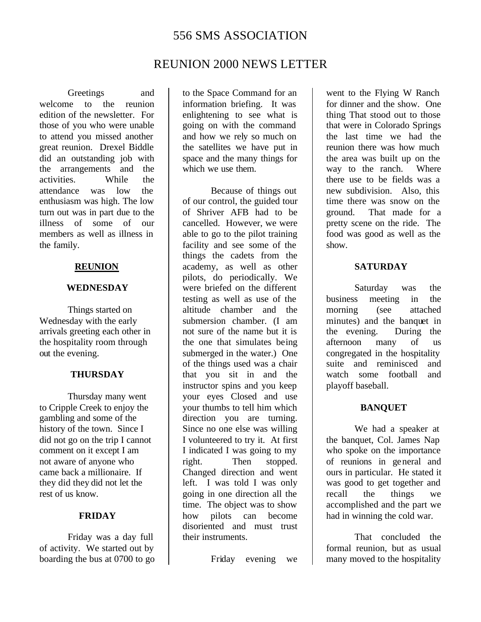# 556 SMS ASSOCIATION

# REUNION 2000 NEWS LETTER

Greetings and welcome to the reunion edition of the newsletter. For those of you who were unable to attend you missed another great reunion. Drexel Biddle did an outstanding job with the arrangements and the activities. While the activities. While the attendance was low the enthusiasm was high. The low turn out was in part due to the illness of some of our members as well as illness in the family.

### **REUNION**

#### **WEDNESDAY**

Things started on Wednesday with the early arrivals greeting each other in the hospitality room through out the evening.

#### **THURSDAY**

Thursday many went to Cripple Creek to enjoy the gambling and some of the history of the town. Since I did not go on the trip I cannot comment on it except I am not aware of anyone who came back a millionaire. If they did they did not let the rest of us know.

### **FRIDAY**

Friday was a day full of activity. We started out by boarding the bus at 0700 to go to the Space Command for an information briefing. It was enlightening to see what is going on with the command and how we rely so much on the satellites we have put in space and the many things for which we use them.

Because of things out of our control, the guided tour of Shriver AFB had to be cancelled. However, we were able to go to the pilot training facility and see some of the things the cadets from the academy, as well as other pilots, do periodically. We were briefed on the different testing as well as use of the altitude chamber and the submersion chamber. (I am not sure of the name but it is the one that simulates being submerged in the water.) One of the things used was a chair that you sit in and the instructor spins and you keep your eyes Closed and use your thumbs to tell him which direction you are turning. Since no one else was willing I volunteered to try it. At first I indicated I was going to my right. Then stopped. Changed direction and went left. I was told I was only going in one direction all the time. The object was to show how pilots can become disoriented and must trust their instruments.

Friday evening we

went to the Flying W Ranch for dinner and the show. One thing That stood out to those that were in Colorado Springs the last time we had the reunion there was how much the area was built up on the way to the ranch. Where there use to be fields was a new subdivision. Also, this time there was snow on the ground. That made for a pretty scene on the ride. The food was good as well as the show.

#### **SATURDAY**

Saturday was the business meeting in the morning (see attached minutes) and the banquet in the evening. During the afternoon many of us congregated in the hospitality suite and reminisced and watch some football and playoff baseball.

### **BANQUET**

We had a speaker at the banquet, Col. James Nap who spoke on the importance of reunions in general and ours in particular. He stated it was good to get together and recall the things we accomplished and the part we had in winning the cold war.

That concluded the formal reunion, but as usual many moved to the hospitality